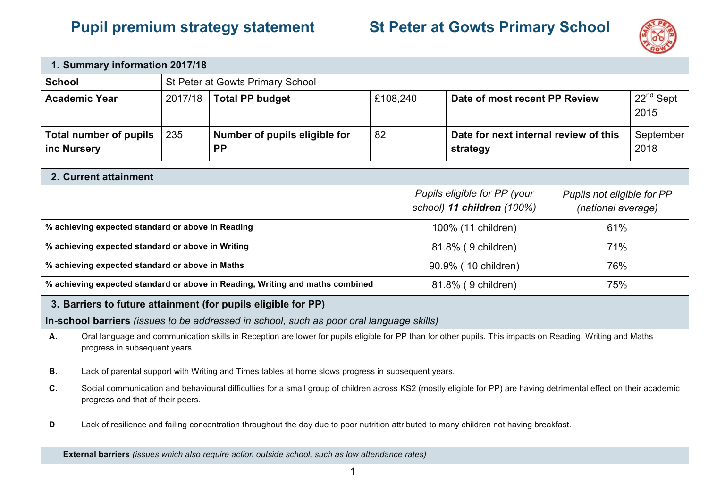## **Pupil premium strategy statement St Peter at Gowts Primary School**



| 1. Summary information 2017/18                                                                    |                                                                                                                                                                                                          |     |                                            |    |                     |                                                            |                                                  |                   |
|---------------------------------------------------------------------------------------------------|----------------------------------------------------------------------------------------------------------------------------------------------------------------------------------------------------------|-----|--------------------------------------------|----|---------------------|------------------------------------------------------------|--------------------------------------------------|-------------------|
| <b>School</b>                                                                                     | St Peter at Gowts Primary School                                                                                                                                                                         |     |                                            |    |                     |                                                            |                                                  |                   |
| <b>Academic Year</b>                                                                              | 2017/18<br><b>Total PP budget</b><br>£108,240                                                                                                                                                            |     | Date of most recent PP Review              |    | $22nd$ Sept<br>2015 |                                                            |                                                  |                   |
| <b>Total number of pupils</b><br>inc Nursery                                                      |                                                                                                                                                                                                          | 235 | Number of pupils eligible for<br><b>PP</b> | 82 |                     | Date for next internal review of this<br>strategy          |                                                  | September<br>2018 |
| 2. Current attainment                                                                             |                                                                                                                                                                                                          |     |                                            |    |                     |                                                            |                                                  |                   |
|                                                                                                   |                                                                                                                                                                                                          |     |                                            |    |                     | Pupils eligible for PP (your<br>school) 11 children (100%) | Pupils not eligible for PP<br>(national average) |                   |
| % achieving expected standard or above in Reading                                                 |                                                                                                                                                                                                          |     |                                            |    |                     | 100% (11 children)                                         | 61%                                              |                   |
| % achieving expected standard or above in Writing                                                 |                                                                                                                                                                                                          |     |                                            |    |                     | 81.8% (9 children)                                         | 71%                                              |                   |
|                                                                                                   | % achieving expected standard or above in Maths<br>90.9% (10 children)<br>76%                                                                                                                            |     |                                            |    |                     |                                                            |                                                  |                   |
|                                                                                                   | % achieving expected standard or above in Reading, Writing and maths combined<br>81.8% (9 children)<br>75%                                                                                               |     |                                            |    |                     |                                                            |                                                  |                   |
|                                                                                                   | 3. Barriers to future attainment (for pupils eligible for PP)                                                                                                                                            |     |                                            |    |                     |                                                            |                                                  |                   |
| In-school barriers (issues to be addressed in school, such as poor oral language skills)          |                                                                                                                                                                                                          |     |                                            |    |                     |                                                            |                                                  |                   |
| A.                                                                                                | Oral language and communication skills in Reception are lower for pupils eligible for PP than for other pupils. This impacts on Reading, Writing and Maths<br>progress in subsequent years.              |     |                                            |    |                     |                                                            |                                                  |                   |
| <b>B.</b>                                                                                         | Lack of parental support with Writing and Times tables at home slows progress in subsequent years.                                                                                                       |     |                                            |    |                     |                                                            |                                                  |                   |
| C.                                                                                                | Social communication and behavioural difficulties for a small group of children across KS2 (mostly eligible for PP) are having detrimental effect on their academic<br>progress and that of their peers. |     |                                            |    |                     |                                                            |                                                  |                   |
| D                                                                                                 | Lack of resilience and failing concentration throughout the day due to poor nutrition attributed to many children not having breakfast.                                                                  |     |                                            |    |                     |                                                            |                                                  |                   |
| External barriers (issues which also require action outside school, such as low attendance rates) |                                                                                                                                                                                                          |     |                                            |    |                     |                                                            |                                                  |                   |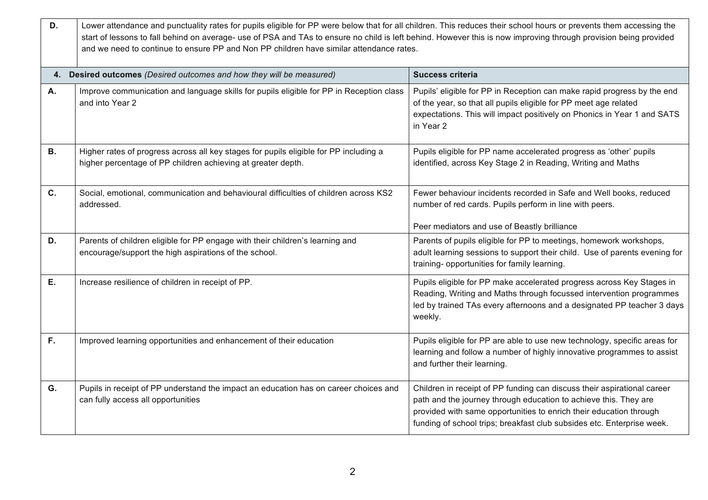| D.        | Lower attendance and punctuality rates for pupils eligible for PP were below that for all children. This reduces their school hours or prevents them accessing the<br>start of lessons to fall behind on average- use of PSA and TAs to ensure no child is left behind. However this is now improving through provision being provided<br>and we need to continue to ensure PP and Non PP children have similar attendance rates. |                                                                                                                                                                                                                                                                                             |  |  |  |  |
|-----------|-----------------------------------------------------------------------------------------------------------------------------------------------------------------------------------------------------------------------------------------------------------------------------------------------------------------------------------------------------------------------------------------------------------------------------------|---------------------------------------------------------------------------------------------------------------------------------------------------------------------------------------------------------------------------------------------------------------------------------------------|--|--|--|--|
|           | 4. Desired outcomes (Desired outcomes and how they will be measured)<br><b>Success criteria</b>                                                                                                                                                                                                                                                                                                                                   |                                                                                                                                                                                                                                                                                             |  |  |  |  |
| Α.        | Improve communication and language skills for pupils eligible for PP in Reception class<br>and into Year 2                                                                                                                                                                                                                                                                                                                        | Pupils' eligible for PP in Reception can make rapid progress by the end<br>of the year, so that all pupils eligible for PP meet age related<br>expectations. This will impact positively on Phonics in Year 1 and SATS<br>in Year 2                                                         |  |  |  |  |
| <b>B.</b> | Higher rates of progress across all key stages for pupils eligible for PP including a<br>higher percentage of PP children achieving at greater depth.                                                                                                                                                                                                                                                                             | Pupils eligible for PP name accelerated progress as 'other' pupils<br>identified, across Key Stage 2 in Reading, Writing and Maths                                                                                                                                                          |  |  |  |  |
| C.        | Social, emotional, communication and behavioural difficulties of children across KS2<br>addressed.                                                                                                                                                                                                                                                                                                                                | Fewer behaviour incidents recorded in Safe and Well books, reduced<br>number of red cards. Pupils perform in line with peers.<br>Peer mediators and use of Beastly brilliance                                                                                                               |  |  |  |  |
| D.        | Parents of children eligible for PP engage with their children's learning and<br>encourage/support the high aspirations of the school.                                                                                                                                                                                                                                                                                            | Parents of pupils eligible for PP to meetings, homework workshops,<br>adult learning sessions to support their child. Use of parents evening for<br>training- opportunities for family learning.                                                                                            |  |  |  |  |
| Ε.        | Increase resilience of children in receipt of PP.                                                                                                                                                                                                                                                                                                                                                                                 | Pupils eligible for PP make accelerated progress across Key Stages in<br>Reading, Writing and Maths through focussed intervention programmes<br>led by trained TAs every afternoons and a designated PP teacher 3 days<br>weekly.                                                           |  |  |  |  |
| F.        | Improved learning opportunities and enhancement of their education                                                                                                                                                                                                                                                                                                                                                                | Pupils eligible for PP are able to use new technology, specific areas for<br>learning and follow a number of highly innovative programmes to assist<br>and further their learning.                                                                                                          |  |  |  |  |
| G.        | Pupils in receipt of PP understand the impact an education has on career choices and<br>can fully access all opportunities                                                                                                                                                                                                                                                                                                        | Children in receipt of PP funding can discuss their aspirational career<br>path and the journey through education to achieve this. They are<br>provided with same opportunities to enrich their education through<br>funding of school trips; breakfast club subsides etc. Enterprise week. |  |  |  |  |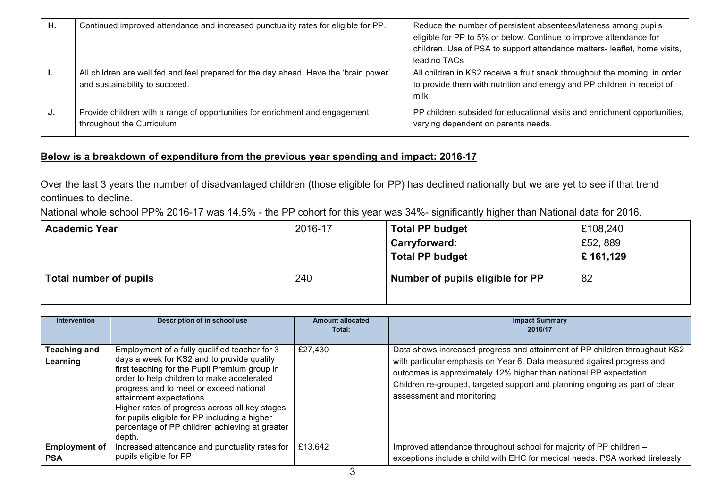| Η. | Continued improved attendance and increased punctuality rates for eligible for PP.                                      | Reduce the number of persistent absentees/lateness among pupils<br>eligible for PP to 5% or below. Continue to improve attendance for<br>children. Use of PSA to support attendance matters- leaflet, home visits,<br>leading TACs |
|----|-------------------------------------------------------------------------------------------------------------------------|------------------------------------------------------------------------------------------------------------------------------------------------------------------------------------------------------------------------------------|
|    | All children are well fed and feel prepared for the day ahead. Have the 'brain power'<br>and sustainability to succeed. | All children in KS2 receive a fruit snack throughout the morning, in order<br>to provide them with nutrition and energy and PP children in receipt of<br>milk                                                                      |
| J. | Provide children with a range of opportunities for enrichment and engagement<br>throughout the Curriculum               | PP children subsided for educational visits and enrichment opportunities,<br>varying dependent on parents needs.                                                                                                                   |

## **Below is a breakdown of expenditure from the previous year spending and impact: 2016-17**

Over the last 3 years the number of disadvantaged children (those eligible for PP) has declined nationally but we are yet to see if that trend continues to decline.

National whole school PP% 2016-17 was 14.5% - the PP cohort for this year was 34%- significantly higher than National data for 2016.

| <b>Academic Year</b>   | 2016-17 | <b>Total PP budget</b>           | £108,240 |
|------------------------|---------|----------------------------------|----------|
|                        |         | Carryforward:                    | £52, 889 |
|                        |         | <b>Total PP budget</b>           | £161,129 |
| Total number of pupils | 240     | Number of pupils eligible for PP | 82       |

| <b>Intervention</b>                | Description of in school use                                                                                                                                                                                                                                                                                                                                                                                                    | <b>Amount allocated</b><br>Total: | <b>Impact Summary</b><br>2016/17                                                                                                                                                                                                                                                                                                        |
|------------------------------------|---------------------------------------------------------------------------------------------------------------------------------------------------------------------------------------------------------------------------------------------------------------------------------------------------------------------------------------------------------------------------------------------------------------------------------|-----------------------------------|-----------------------------------------------------------------------------------------------------------------------------------------------------------------------------------------------------------------------------------------------------------------------------------------------------------------------------------------|
| <b>Teaching and</b><br>Learning    | Employment of a fully qualified teacher for 3<br>days a week for KS2 and to provide quality<br>first teaching for the Pupil Premium group in<br>order to help children to make accelerated<br>progress and to meet or exceed national<br>attainment expectations<br>Higher rates of progress across all key stages<br>for pupils eligible for PP including a higher<br>percentage of PP children achieving at greater<br>depth. | £27,430                           | Data shows increased progress and attainment of PP children throughout KS2<br>with particular emphasis on Year 6. Data measured against progress and<br>outcomes is approximately 12% higher than national PP expectation.<br>Children re-grouped, targeted support and planning ongoing as part of clear<br>assessment and monitoring. |
| <b>Employment of</b><br><b>PSA</b> | Increased attendance and punctuality rates for<br>pupils eligible for PP                                                                                                                                                                                                                                                                                                                                                        | £13,642                           | Improved attendance throughout school for majority of PP children -<br>exceptions include a child with EHC for medical needs. PSA worked tirelessly                                                                                                                                                                                     |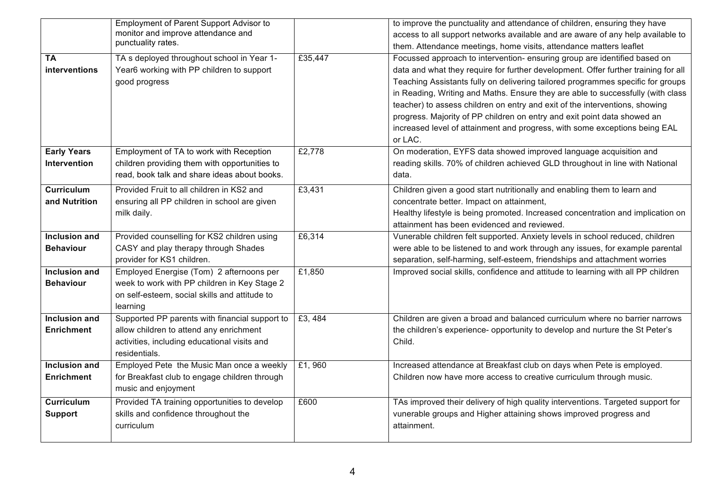|                      | <b>Employment of Parent Support Advisor to</b> |         | to improve the punctuality and attendance of children, ensuring they have          |
|----------------------|------------------------------------------------|---------|------------------------------------------------------------------------------------|
|                      | monitor and improve attendance and             |         | access to all support networks available and are aware of any help available to    |
|                      | punctuality rates.                             |         | them. Attendance meetings, home visits, attendance matters leaflet                 |
| <b>TA</b>            | TA s deployed throughout school in Year 1-     | £35,447 | Focussed approach to intervention- ensuring group are identified based on          |
| interventions        | Year6 working with PP children to support      |         | data and what they require for further development. Offer further training for all |
|                      | good progress                                  |         | Teaching Assistants fully on delivering tailored programmes specific for groups    |
|                      |                                                |         | in Reading, Writing and Maths. Ensure they are able to successfully (with class    |
|                      |                                                |         | teacher) to assess children on entry and exit of the interventions, showing        |
|                      |                                                |         | progress. Majority of PP children on entry and exit point data showed an           |
|                      |                                                |         | increased level of attainment and progress, with some exceptions being EAL         |
|                      |                                                |         | or LAC.                                                                            |
| <b>Early Years</b>   | Employment of TA to work with Reception        | £2,778  | On moderation, EYFS data showed improved language acquisition and                  |
| Intervention         | children providing them with opportunities to  |         | reading skills. 70% of children achieved GLD throughout in line with National      |
|                      | read, book talk and share ideas about books.   |         | data.                                                                              |
| <b>Curriculum</b>    | Provided Fruit to all children in KS2 and      | £3,431  | Children given a good start nutritionally and enabling them to learn and           |
| and Nutrition        | ensuring all PP children in school are given   |         | concentrate better. Impact on attainment,                                          |
|                      | milk daily.                                    |         | Healthy lifestyle is being promoted. Increased concentration and implication on    |
|                      |                                                |         | attainment has been evidenced and reviewed.                                        |
| <b>Inclusion and</b> | Provided counselling for KS2 children using    | £6,314  | Vunerable children felt supported. Anxiety levels in school reduced, children      |
| <b>Behaviour</b>     | CASY and play therapy through Shades           |         | were able to be listened to and work through any issues, for example parental      |
|                      | provider for KS1 children.                     |         | separation, self-harming, self-esteem, friendships and attachment worries          |
| Inclusion and        | Employed Energise (Tom) 2 afternoons per       | £1,850  | Improved social skills, confidence and attitude to learning with all PP children   |
| <b>Behaviour</b>     | week to work with PP children in Key Stage 2   |         |                                                                                    |
|                      | on self-esteem, social skills and attitude to  |         |                                                                                    |
|                      | learning                                       |         |                                                                                    |
| <b>Inclusion and</b> | Supported PP parents with financial support to | £3,484  | Children are given a broad and balanced curriculum where no barrier narrows        |
| <b>Enrichment</b>    | allow children to attend any enrichment        |         | the children's experience- opportunity to develop and nurture the St Peter's       |
|                      | activities, including educational visits and   |         | Child.                                                                             |
|                      | residentials.                                  |         |                                                                                    |
| <b>Inclusion and</b> | Employed Pete the Music Man once a weekly      | £1,960  | Increased attendance at Breakfast club on days when Pete is employed.              |
| <b>Enrichment</b>    | for Breakfast club to engage children through  |         | Children now have more access to creative curriculum through music.                |
|                      | music and enjoyment                            |         |                                                                                    |
| <b>Curriculum</b>    | Provided TA training opportunities to develop  | £600    | TAs improved their delivery of high quality interventions. Targeted support for    |
| <b>Support</b>       | skills and confidence throughout the           |         | vunerable groups and Higher attaining shows improved progress and                  |
|                      | curriculum                                     |         | attainment.                                                                        |
|                      |                                                |         |                                                                                    |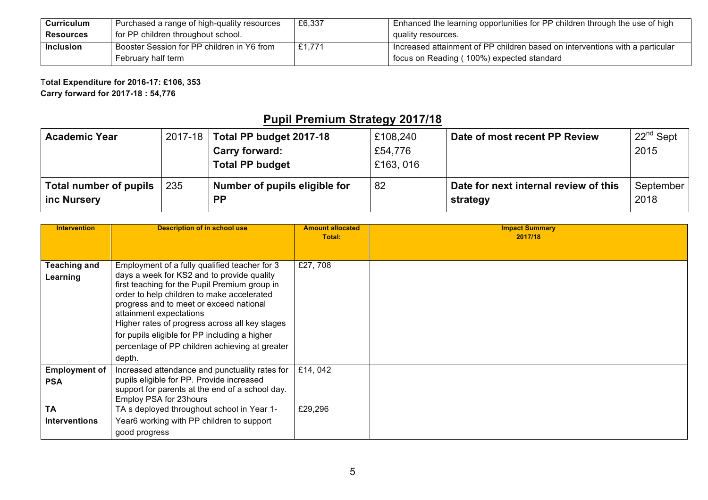| Curriculum       | Purchased a range of high-quality resources | £6,337 | Enhanced the learning opportunities for PP children through the use of high    |
|------------------|---------------------------------------------|--------|--------------------------------------------------------------------------------|
| <b>Resources</b> | for PP children throughout school.          |        | quality resources.                                                             |
| <b>Inclusion</b> | Booster Session for PP children in Y6 from  | £1.771 | I Increased attainment of PP children based on interventions with a particular |
|                  | February half term                          |        | focus on Reading (100%) expected standard                                      |

T**otal Expenditure for 2016-17: £106, 353 Carry forward for 2017-18 : 54,776**

## **Pupil Premium Strategy 2017/18**

| <b>Academic Year</b>   |     | 2017-18 Total PP budget 2017-18 | £108,240 | Date of most recent PP Review         | $22^{nd}$ Sept |
|------------------------|-----|---------------------------------|----------|---------------------------------------|----------------|
|                        |     | <b>Carry forward:</b>           | £54,776  |                                       | 2015           |
|                        |     | <b>Total PP budget</b>          | £163,016 |                                       |                |
| Total number of pupils | 235 | Number of pupils eligible for   | 82       | Date for next internal review of this | September      |
| inc Nursery            |     | <b>PP</b>                       |          | strategy                              | 2018           |

| <b>Intervention</b>  | <b>Description of in school use</b>                                                          | <b>Amount allocated</b><br>Total: | <b>Impact Summary</b><br>2017/18 |
|----------------------|----------------------------------------------------------------------------------------------|-----------------------------------|----------------------------------|
|                      |                                                                                              |                                   |                                  |
| <b>Teaching and</b>  | Employment of a fully qualified teacher for 3                                                | £27,708                           |                                  |
| Learning             | days a week for KS2 and to provide quality<br>first teaching for the Pupil Premium group in  |                                   |                                  |
|                      | order to help children to make accelerated<br>progress and to meet or exceed national        |                                   |                                  |
|                      | attainment expectations                                                                      |                                   |                                  |
|                      | Higher rates of progress across all key stages                                               |                                   |                                  |
|                      | for pupils eligible for PP including a higher                                                |                                   |                                  |
|                      | percentage of PP children achieving at greater                                               |                                   |                                  |
|                      | depth.                                                                                       |                                   |                                  |
| <b>Employment of</b> | Increased attendance and punctuality rates for                                               | £14,042                           |                                  |
| <b>PSA</b>           | pupils eligible for PP. Provide increased<br>support for parents at the end of a school day. |                                   |                                  |
|                      | Employ PSA for 23hours                                                                       |                                   |                                  |
| <b>TA</b>            | TA s deployed throughout school in Year 1-                                                   | £29,296                           |                                  |
| <b>Interventions</b> | Year6 working with PP children to support                                                    |                                   |                                  |
|                      | good progress                                                                                |                                   |                                  |